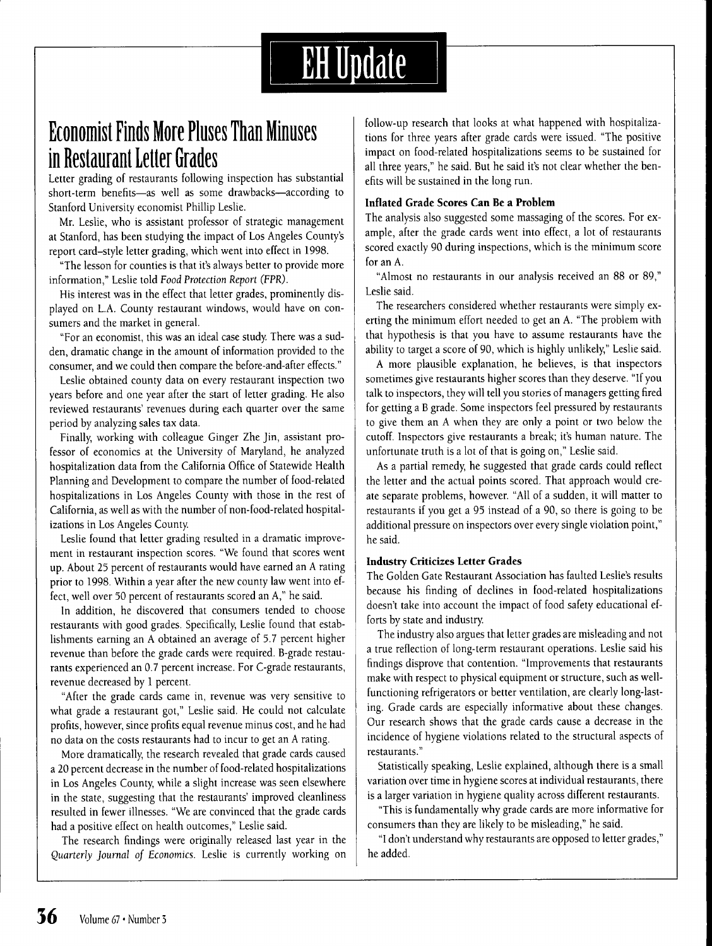# **EH** Update

### **Economist Finds More Plnses Than Minuses in Restaurant letter Grades**

Letter grading of restaurants following inspection has substantial short-term benefits—as well as some drawbacks—according to Stanford University economist Phillip Leslie.

Mr, Leslie, who is assistant professor of strategic management at Stanford, has been studying the impact of Los Angeles County's report card-style letter grading, which went into effect in 1998,

"The lesson for counties is that it's always better to provide more information," Leslie told *Food Protection Report* (FPR),

His interest was in the effect that letter grades, prominently displayed on L,A, County restaurant windows, would have on consumers and the market in general,

"For an economist, this was an ideal case study There was a sudden, dramatic change in the amount of information provided to the consumer, and we could then compare the before-and-after effects,"

Leslie obtained county data on every restaurant inspection two years before and one year after the start of letter grading. He also reviewed restaurants' revenues during each quarter over the same period by analyzing sales tax data.

Finally, working with colleague Ginger Zhe Jin, assistant professor of economics at the University of Maryland, he analyzed hospitalization data from the California Office of Statewide Health Planning and Development to compare the number of food-related hospitalizations in Los Angeles County with those in the rest of California, as well as with the number of non-food-related hospitalizations in Los Angeles County

Leslie found that letter grading resulted in a dramatic improvement in restaurant inspection scores, "We found that scores went up. About 25 percent of restaurants would have earned an A rating prior to 1998, Within a year after the new county law went into effect, well over 50 percent of restaurants scored an A," he said.

In addition, he discovered that consumers tended to choose restaurants with good grades. Specifically, Leslie found that establishments earning an A obtained an average of 5,7 percent higher revenue than before the grade cards were required, B-grade restaurants experienced an 0,7 percent increase. For C-grade restaurants, revenue decreased by 1 percent,

"After the grade cards came in, revenue was very sensitive to what grade a restaurant got," Leslie said. He could not calculate profits, however, since profits equal revenue minus cost, and he had no data on the costs restaurants had to incur to get an A rating.

More dramatically, the research revealed that grade cards caused a 20 percent decrease in the number of food-related hospitalizations in Los Angeles County, while a slight increase was seen elsewhere in the state, suggesting that the restaurants' improved cleanliness resulted in fewer illnesses, "We are convinced that the grade cards had a positive effect on health outcomes," Leslie said.

The research findings were originally released last year in the *Quarterly journal of Economics.* Leslie is currently working on

follow-up research that looks at what happened with hospitalizations for three years after grade cards were issued, "The positive impact on food-related hospitalizations seems to be sustained for all three years," he said. But he said it's not clear whether the benefits will be sustained in the long run.

#### **Inflated Grade Scores Can Be a Problem**

The analysis also suggested some massaging of the scores. For example, after the grade cards went into effect, a lot of restaurants scored exactly 90 during inspections, which is the minimum score for an A,

"Almost no restaurants in our analysis received an 88 or 89," Leslie said.

The researchers considered whether restaurants were simply exerting the minimum effort needed to get an A, "The problem with that hypothesis is that you have to assume restaurants have the ability to target a score of 90, which is highly unlikely," Leslie said,

A more plausible explanation, he believes, is that inspectors sometimes give restaurants higher scores than they deserve, "If you talk to inspectors, they will tell you stories of managers getting fired for getting a B grade. Some inspectors feel pressured by restaurants to give them an A when they are only a point or two below the cutoff. Inspectors give restaurants a break; it's human nature. The unfortunate truth is a lot of that is going on," Leslie said.

As a partial remedy, he suggested that grade cards could reflect the letter and the actual points scored. That approach would create separate problems, however, "All of a sudden, it will matter to restaurants if you get a 93 instead of a 90, so there is going to be additional pressure on inspectors over every single violation point," he said.

#### **Industry Criticizes Letter Grades**

The Golden Gate Restaurant Association has faulted Leslie's results because his finding of declines in food-related hospitalizations doesn't take into account the impact of food safety educational efforts by state and industry

The industry also argues that letter grades are misleading and not a true reflection of long-term restaurant operations, Leslie said his findings disprove that contention, "Improvements that restaurants make with respect to physical equipment or structure, such as wellfunctioning refrigerators or better ventilation, are clearly long-lasting. Grade cards are especially informative about these changes. Our research shows that the grade cards cause a decrease in the incidence of hygiene violations related to the structural aspects of restaurants,"

Statistically speaking, Leslie explained, although there is a small variation over time in hygiene scores at individual restaurants, there is a larger variation in hygiene quality across different restaurants,

"This is fundamentally why grade cards are more informative for consumers than they are likely to be misleading," he said,

"I don't understand why restaurants are opposed to letter grades," he added.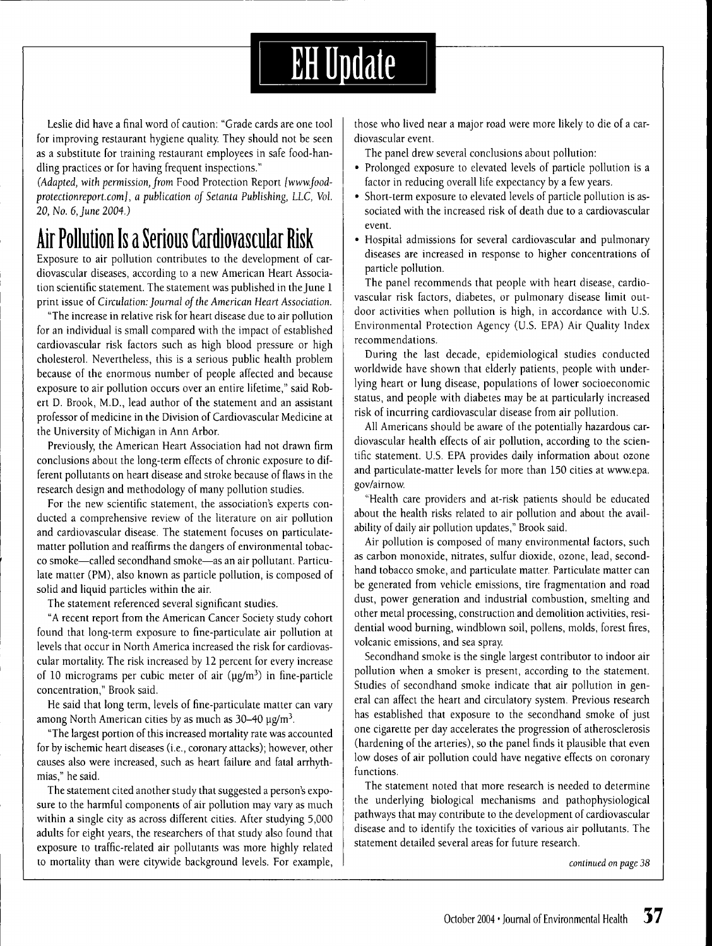

Leslie did have a final word of caution: "Grade cards are one tool for improving restaurant hygiene quality. They should not be seen as a substitute for training restaurant employees in safe food-handling practices or for having frequent inspections."

*(Adapted, with permission, from* Food Protection Report *[www.foodprotectionreport.comj, a publication of Setanta Publishing, LLC, Vol. 20, No. 6, June 2004.)*

## **Air Pollution Is a Serious Cardiovascular Risk**

Exposure to air pollution contributes to the development of cardiovascular diseases, according to a new American Heart Association scientific statement. The statement was published in the June 1 print issue of *Circulation: foumal of the American Heart Association.*

"The increase in relative risk for heart disease due to air pollution for an individual is small compared with the impact of established cardiovascular risk factors such as high blood pressure or high cholesterol. Nevertheless, this is a serious public health problem because of the enormous number of people affected and because exposure to air pollution occurs over an entire lifetime," said Robert D. Brook, M.D., lead author of the statement and an assistant professor of medicine in the Division of Cardiovascular Medicine at the University of Michigan in Ann Arbor.

Previously, the American Heart Association had not drawn firm conclusions about the long-term effects of chronic exposure to different pollutants on heart disease and stroke because of flaws in the research design and methodology of many pollution studies.

For the new scientific statement, the association's experts conducted a comprehensive review of the literature on air pollution and cardiovascular disease. The statement focuses on particulatematter pollution and reaffirms the dangers of environmental tobacco smoke—called secondhand smoke—as an air pollutant. Particulate matter (PM), also known as particle pollution, is composed of solid and liquid particles within the air.

The statement referenced several significant studies.

"A recent report from the American Cancer Society study cohort found that long-term exposure to fine-particulate air pollution at levels that occur in North America increased the risk for cardiovascular mortality. The risk increased by 12 percent for every increase of 10 micrograms per cubic meter of air  $(\mu g/m^3)$  in fine-particle concentration," Brook said.

He said that long term, levels of fine-particulate matter can vary among North American cities by as much as  $30-40$   $\mu$ g/m<sup>3</sup>.

"The largest portion of this increased mortality rate was accounted for by ischemic heart diseases (i.e., coronary attacks); however, other causes also were increased, such as heart failure and fatal arrhythmias," he said.

The statement cited another study that suggested a person's exposure to the harmful components of air pollution may vary as much within a single city as across different cities. After studying 5,000 adults for eight years, the researchers of that study also found that exposure to traffic-related air pollutants was more highly related to mortality than were citywide background levels. For example. those who lived near a major road were more likely to die of a cardiovascular event.

The panel drew several conclusions about pollution:

- Prolonged exposure to elevated levels of particle pollution is a factor in reducing overall life expectancy by a few years.
- Short-term exposure to elevated levels of particle pollution is associated with the increased risk of death due to a cardiovascular event.
- Hospital admissions for several cardiovascular and pulmonary diseases are increased in response to higher concentrations of particle pollution.

The panel recommends that people with heart disease, cardiovascular risk factors, diabetes, or pulmonary disease limit outdoor activities when pollution is high, in accordance with U.S. Environmental Protection Agency (U.S. EPA) Air Quality Index recommendations.

During the last decade, epidemiological studies conducted worldwide have shown that elderly patients, people with underlying heart or lung disease, populations of lower socioeconomic status, and people with diabetes may be at particularly increased risk of incurring cardiovascular disease from air pollution.

All Americans should be aware of the potentially hazardous cardiovascular health effects of air pollution, according to the scientific statement. U.S. EPA provides daily information about ozone and particulate-matter levels for more than 150 cities at www.epa. gov/airnow.

"Health care providers and at-risk patients should be educated about the health risks related to air pollution and about the availability of daily air pollution updates," Brook said.

Air pollution is composed of many environmental factors, such as carbon monoxide, nitrates, sulfur dioxide, ozone, lead, secondhand tobacco smoke, and particulate matter. Particulate matter can be generated from vehicle emissions, tire fragmentation and road dust, power generation and industrial combustion, smelting and other metal processing, construction and demolition activities, residential wood burning, windblown soil, pollens, molds, forest fires, volcanic emissions, and sea spray

Secondhand smoke is the single largest contributor to indoor air pollution when a smoker is present, according to the statement. Studies of secondhand smoke indicate that air pollution in general can affect the heart and circulatory system. Previous research has established that exposure to the secondhand smoke of just one cigarette per day accelerates the progression of atherosclerosis (hardening of the arteries), so the panel finds it plausible that even low doses of air pollution could have negative effects on coronary functions.

The statement noted that more research is needed to determine the underlying biological mechanisms and pathophysiological pathways that may contribute to the development of cardiovascular disease and to identify the toxicities of various air pollutants. The statement detailed several areas for future research.

*continued on page 38*